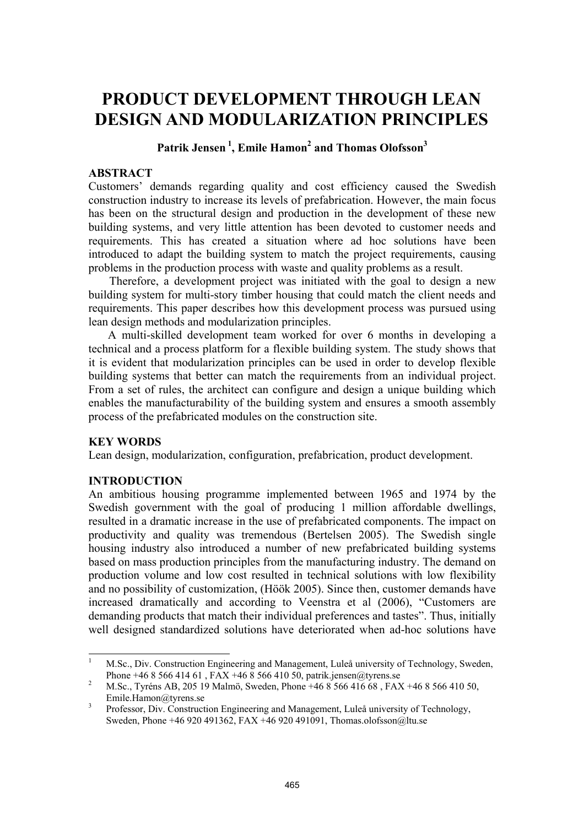# **PRODUCT DEVELOPMENT THROUGH LEAN DESIGN AND MODULARIZATION PRINCIPLES**

# Patrik Jensen <sup>1</sup>, Emile Hamon<sup>2</sup> and Thomas Olofsson<sup>3</sup>

## **ABSTRACT**

Customers' demands regarding quality and cost efficiency caused the Swedish construction industry to increase its levels of prefabrication. However, the main focus has been on the structural design and production in the development of these new building systems, and very little attention has been devoted to customer needs and requirements. This has created a situation where ad hoc solutions have been introduced to adapt the building system to match the project requirements, causing problems in the production process with waste and quality problems as a result.

Therefore, a development project was initiated with the goal to design a new building system for multi-story timber housing that could match the client needs and requirements. This paper describes how this development process was pursued using lean design methods and modularization principles.

A multi-skilled development team worked for over 6 months in developing a technical and a process platform for a flexible building system. The study shows that it is evident that modularization principles can be used in order to develop flexible building systems that better can match the requirements from an individual project. From a set of rules, the architect can configure and design a unique building which enables the manufacturability of the building system and ensures a smooth assembly process of the prefabricated modules on the construction site.

#### **KEY WORDS**

Lean design, modularization, configuration, prefabrication, product development.

## **INTRODUCTION**

An ambitious housing programme implemented between 1965 and 1974 by the Swedish government with the goal of producing 1 million affordable dwellings, resulted in a dramatic increase in the use of prefabricated components. The impact on productivity and quality was tremendous (Bertelsen 2005). The Swedish single housing industry also introduced a number of new prefabricated building systems based on mass production principles from the manufacturing industry. The demand on production volume and low cost resulted in technical solutions with low flexibility and no possibility of customization, (Höök 2005). Since then, customer demands have increased dramatically and according to Veenstra et al (2006), "Customers are demanding products that match their individual preferences and tastes". Thus, initially well designed standardized solutions have deteriorated when ad-hoc solutions have

<sup>|&</sup>lt;br>|<br>| M.Sc., Div. Construction Engineering and Management, Luleå university of Technology, Sweden, Phone +46 8 566 414 61 , FAX +46 8 566 410 50, patrik.jensen@tyrens.se

M.Sc., Tyréns AB, 205 19 Malmö, Sweden, Phone +46 8 566 416 68 , FAX +46 8 566 410 50, Emile.Hamon@tyrens.se

Professor, Div. Construction Engineering and Management, Luleå university of Technology, Sweden, Phone +46 920 491362, FAX +46 920 491091, Thomas.olofsson@ltu.se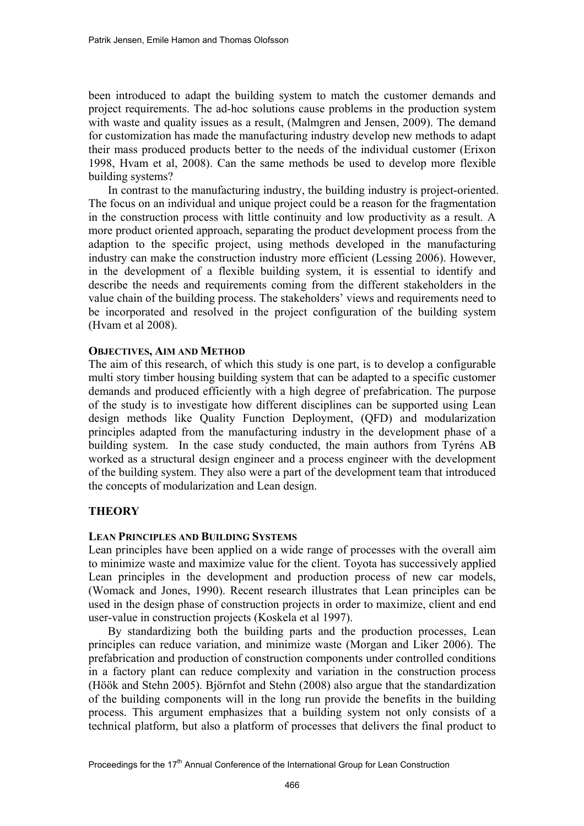been introduced to adapt the building system to match the customer demands and project requirements. The ad-hoc solutions cause problems in the production system with waste and quality issues as a result, (Malmgren and Jensen, 2009). The demand for customization has made the manufacturing industry develop new methods to adapt their mass produced products better to the needs of the individual customer (Erixon 1998, Hvam et al, 2008). Can the same methods be used to develop more flexible building systems?

In contrast to the manufacturing industry, the building industry is project-oriented. The focus on an individual and unique project could be a reason for the fragmentation in the construction process with little continuity and low productivity as a result. A more product oriented approach, separating the product development process from the adaption to the specific project, using methods developed in the manufacturing industry can make the construction industry more efficient (Lessing 2006). However, in the development of a flexible building system, it is essential to identify and describe the needs and requirements coming from the different stakeholders in the value chain of the building process. The stakeholders' views and requirements need to be incorporated and resolved in the project configuration of the building system (Hvam et al 2008).

#### **OBJECTIVES, AIM AND METHOD**

The aim of this research, of which this study is one part, is to develop a configurable multi story timber housing building system that can be adapted to a specific customer demands and produced efficiently with a high degree of prefabrication. The purpose of the study is to investigate how different disciplines can be supported using Lean design methods like Quality Function Deployment, (QFD) and modularization principles adapted from the manufacturing industry in the development phase of a building system. In the case study conducted, the main authors from Tyréns AB worked as a structural design engineer and a process engineer with the development of the building system. They also were a part of the development team that introduced the concepts of modularization and Lean design.

## **THEORY**

## **LEAN PRINCIPLES AND BUILDING SYSTEMS**

Lean principles have been applied on a wide range of processes with the overall aim to minimize waste and maximize value for the client. Toyota has successively applied Lean principles in the development and production process of new car models, (Womack and Jones, 1990). Recent research illustrates that Lean principles can be used in the design phase of construction projects in order to maximize, client and end user-value in construction projects (Koskela et al 1997).

By standardizing both the building parts and the production processes, Lean principles can reduce variation, and minimize waste (Morgan and Liker 2006). The prefabrication and production of construction components under controlled conditions in a factory plant can reduce complexity and variation in the construction process (Höök and Stehn 2005). Björnfot and Stehn (2008) also argue that the standardization of the building components will in the long run provide the benefits in the building process. This argument emphasizes that a building system not only consists of a technical platform, but also a platform of processes that delivers the final product to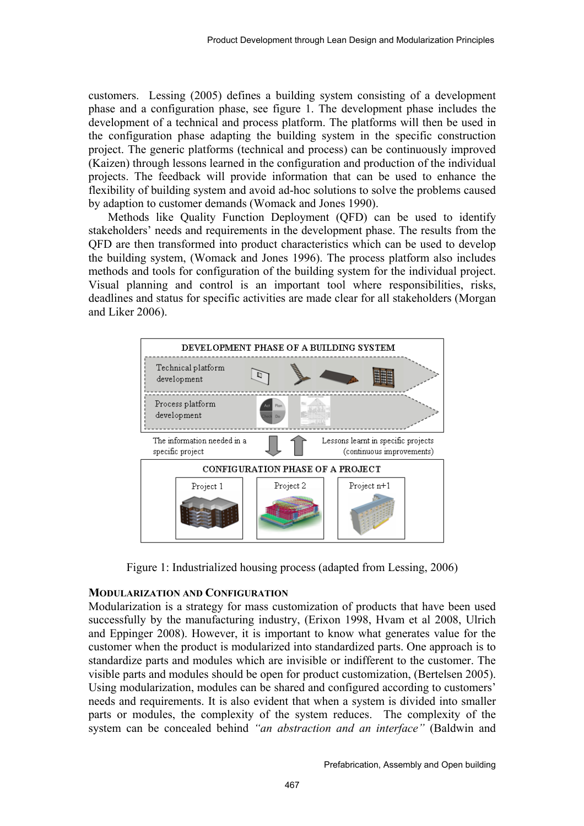customers. Lessing (2005) defines a building system consisting of a development phase and a configuration phase, see figure 1. The development phase includes the development of a technical and process platform. The platforms will then be used in the configuration phase adapting the building system in the specific construction project. The generic platforms (technical and process) can be continuously improved (Kaizen) through lessons learned in the configuration and production of the individual projects. The feedback will provide information that can be used to enhance the flexibility of building system and avoid ad-hoc solutions to solve the problems caused by adaption to customer demands (Womack and Jones 1990).

Methods like Quality Function Deployment (QFD) can be used to identify stakeholders' needs and requirements in the development phase. The results from the QFD are then transformed into product characteristics which can be used to develop the building system, (Womack and Jones 1996). The process platform also includes methods and tools for configuration of the building system for the individual project. Visual planning and control is an important tool where responsibilities, risks, deadlines and status for specific activities are made clear for all stakeholders (Morgan and Liker 2006).



Figure 1: Industrialized housing process (adapted from Lessing, 2006)

#### **MODULARIZATION AND CONFIGURATION**

Modularization is a strategy for mass customization of products that have been used successfully by the manufacturing industry, (Erixon 1998, Hvam et al 2008, Ulrich and Eppinger 2008). However, it is important to know what generates value for the customer when the product is modularized into standardized parts. One approach is to standardize parts and modules which are invisible or indifferent to the customer. The visible parts and modules should be open for product customization, (Bertelsen 2005). Using modularization, modules can be shared and configured according to customers' needs and requirements. It is also evident that when a system is divided into smaller parts or modules, the complexity of the system reduces. The complexity of the system can be concealed behind *"an abstraction and an interface"* (Baldwin and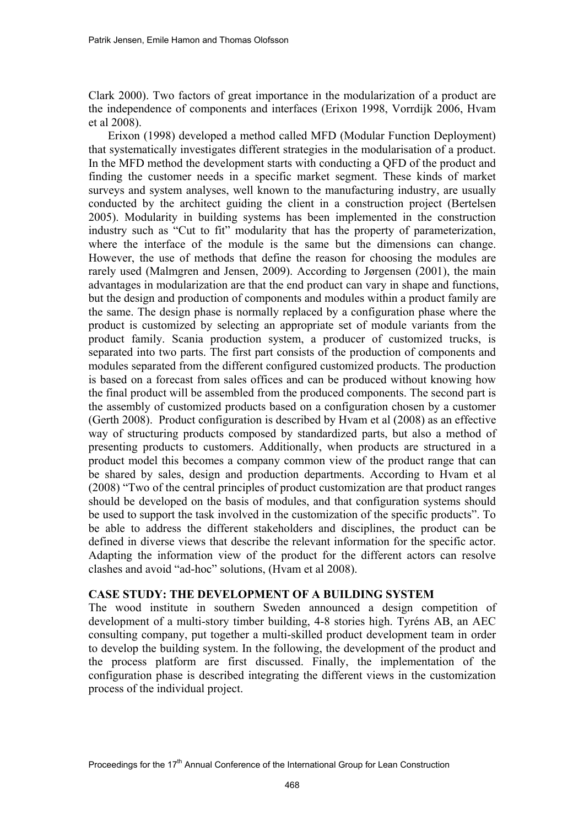Clark 2000). Two factors of great importance in the modularization of a product are the independence of components and interfaces (Erixon 1998, Vorrdijk 2006, Hvam et al 2008).

Erixon (1998) developed a method called MFD (Modular Function Deployment) that systematically investigates different strategies in the modularisation of a product. In the MFD method the development starts with conducting a QFD of the product and finding the customer needs in a specific market segment. These kinds of market surveys and system analyses, well known to the manufacturing industry, are usually conducted by the architect guiding the client in a construction project (Bertelsen 2005). Modularity in building systems has been implemented in the construction industry such as "Cut to fit" modularity that has the property of parameterization, where the interface of the module is the same but the dimensions can change. However, the use of methods that define the reason for choosing the modules are rarely used (Malmgren and Jensen, 2009). According to Jørgensen (2001), the main advantages in modularization are that the end product can vary in shape and functions, but the design and production of components and modules within a product family are the same. The design phase is normally replaced by a configuration phase where the product is customized by selecting an appropriate set of module variants from the product family. Scania production system, a producer of customized trucks, is separated into two parts. The first part consists of the production of components and modules separated from the different configured customized products. The production is based on a forecast from sales offices and can be produced without knowing how the final product will be assembled from the produced components. The second part is the assembly of customized products based on a configuration chosen by a customer (Gerth 2008). Product configuration is described by Hvam et al (2008) as an effective way of structuring products composed by standardized parts, but also a method of presenting products to customers. Additionally, when products are structured in a product model this becomes a company common view of the product range that can be shared by sales, design and production departments. According to Hvam et al (2008) "Two of the central principles of product customization are that product ranges should be developed on the basis of modules, and that configuration systems should be used to support the task involved in the customization of the specific products". To be able to address the different stakeholders and disciplines, the product can be defined in diverse views that describe the relevant information for the specific actor. Adapting the information view of the product for the different actors can resolve clashes and avoid "ad-hoc" solutions, (Hvam et al 2008).

## **CASE STUDY: THE DEVELOPMENT OF A BUILDING SYSTEM**

The wood institute in southern Sweden announced a design competition of development of a multi-story timber building, 4-8 stories high. Tyréns AB, an AEC consulting company, put together a multi-skilled product development team in order to develop the building system. In the following, the development of the product and the process platform are first discussed. Finally, the implementation of the configuration phase is described integrating the different views in the customization process of the individual project.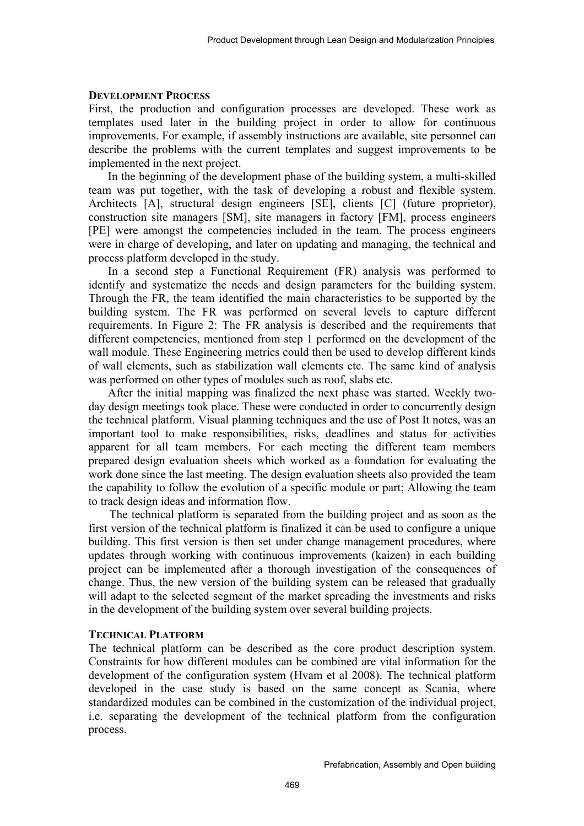#### **DEVELOPMENT PROCESS**

First, the production and configuration processes are developed. These work as templates used later in the building project in order to allow for continuous improvements. For example, if assembly instructions are available, site personnel can describe the problems with the current templates and suggest improvements to be implemented in the next project.

In the beginning of the development phase of the building system, a multi-skilled team was put together, with the task of developing a robust and flexible system. Architects [A], structural design engineers [SE], clients [C] (future proprietor), construction site managers [SM], site managers in factory [FM], process engineers [PE] were amongst the competencies included in the team. The process engineers were in charge of developing, and later on updating and managing, the technical and process platform developed in the study.

In a second step a Functional Requirement (FR) analysis was performed to identify and systematize the needs and design parameters for the building system. Through the FR, the team identified the main characteristics to be supported by the building system. The FR was performed on several levels to capture different requirements. In Figure 2: The FR analysis is described and the requirements that different competencies, mentioned from step 1 performed on the development of the wall module. These Engineering metrics could then be used to develop different kinds of wall elements, such as stabilization wall elements etc. The same kind of analysis was performed on other types of modules such as roof, slabs etc.

After the initial mapping was finalized the next phase was started. Weekly twoday design meetings took place. These were conducted in order to concurrently design the technical platform. Visual planning techniques and the use of Post It notes, was an important tool to make responsibilities, risks, deadlines and status for activities apparent for all team members. For each meeting the different team members prepared design evaluation sheets which worked as a foundation for evaluating the work done since the last meeting. The design evaluation sheets also provided the team the capability to follow the evolution of a specific module or part; Allowing the team to track design ideas and information flow.

The technical platform is separated from the building project and as soon as the first version of the technical platform is finalized it can be used to configure a unique building. This first version is then set under change management procedures, where updates through working with continuous improvements (kaizen) in each building project can be implemented after a thorough investigation of the consequences of change. Thus, the new version of the building system can be released that gradually will adapt to the selected segment of the market spreading the investments and risks in the development of the building system over several building projects.

#### **TECHNICAL PLATFORM**

The technical platform can be described as the core product description system. Constraints for how different modules can be combined are vital information for the development of the configuration system (Hvam et al 2008). The technical platform developed in the case study is based on the same concept as Scania, where standardized modules can be combined in the customization of the individual project, i.e. separating the development of the technical platform from the configuration process.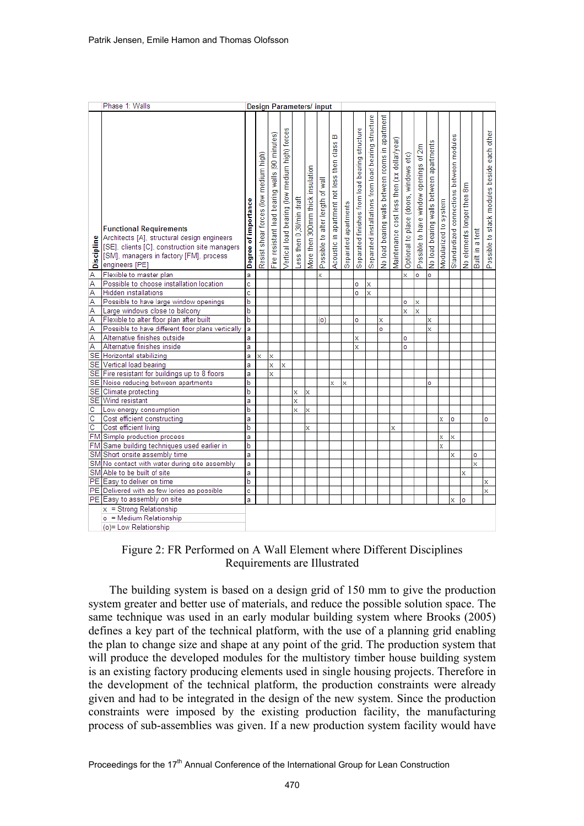|                         | Phase 1: Walls<br><b>Design Parameters/input</b>                                                                                                                                            |                      |                                       |                                                |                                                |                          |                                  |                                  |                                                   |                      |                                                |                                                     |                                                  |                                             |                                        |                                        |                                          |                       |                                          |                            |                 |                                             |
|-------------------------|---------------------------------------------------------------------------------------------------------------------------------------------------------------------------------------------|----------------------|---------------------------------------|------------------------------------------------|------------------------------------------------|--------------------------|----------------------------------|----------------------------------|---------------------------------------------------|----------------------|------------------------------------------------|-----------------------------------------------------|--------------------------------------------------|---------------------------------------------|----------------------------------------|----------------------------------------|------------------------------------------|-----------------------|------------------------------------------|----------------------------|-----------------|---------------------------------------------|
| Discipline              | <b>Functional Requirements</b><br>Architects [A], structural design engineers<br>[SE], clients [C], construction site managers<br>[SM], managers in factory [FM], process<br>engineers [PE] | Degree of importance | Resist shear forces (low medium high) | Fire resistant load bearing walls (90 minutes) | Vertical load bearing (low medium high) forces | Less then 0,3l/min draft | More then 300mm thick insulation | Possible to alter length of wall | m<br>class<br>Acoustic in apartment not less then | Separated apartments | Separated finishes from load bearing structure | Separated installations from load bearing structure | No load bearing walls between rooms in apartment | Maintenance cost less then (xx dollar/year) | Optional to place (doors, windows etc) | Possible to have window openings of 2m | No load bearing walls between apartments | Modularized to system | Standardized connections between modules | No elements longer then 8m | Built in a tent | Possible to stack modules beside each other |
| $\overline{\mathsf{A}}$ | Flexible to master plan                                                                                                                                                                     | a                    |                                       |                                                |                                                |                          |                                  | x                                |                                                   |                      |                                                |                                                     |                                                  |                                             | x                                      | o                                      | ō                                        |                       |                                          |                            |                 |                                             |
| Ā                       | Possible to choose installation location                                                                                                                                                    | ċ                    |                                       |                                                |                                                |                          |                                  |                                  |                                                   |                      | o                                              | x                                                   |                                                  |                                             |                                        |                                        |                                          |                       |                                          |                            |                 |                                             |
| Ā                       | <b>Hidden</b> installations                                                                                                                                                                 | ċ                    |                                       |                                                |                                                |                          |                                  |                                  |                                                   |                      | ö                                              | x                                                   |                                                  |                                             |                                        |                                        |                                          |                       |                                          |                            |                 |                                             |
| Ā                       | Possible to have large window openings                                                                                                                                                      | $\overline{b}$       |                                       |                                                |                                                |                          |                                  |                                  |                                                   |                      |                                                |                                                     |                                                  |                                             | ö                                      | x                                      |                                          |                       |                                          |                            |                 |                                             |
| Ā                       | Large windows close to balcony                                                                                                                                                              | b                    |                                       |                                                |                                                |                          |                                  |                                  |                                                   |                      |                                                |                                                     |                                                  |                                             | x                                      | x                                      |                                          |                       |                                          |                            |                 |                                             |
| A                       | Flexible to alter floor plan after built                                                                                                                                                    | b                    |                                       |                                                |                                                |                          |                                  | (o)                              |                                                   |                      | o                                              |                                                     | X                                                |                                             |                                        |                                        | X                                        |                       |                                          |                            |                 |                                             |
| Ā                       | Possible to have different floor plans vertically                                                                                                                                           | a                    |                                       |                                                |                                                |                          |                                  |                                  |                                                   |                      |                                                |                                                     | ö                                                |                                             |                                        |                                        | x                                        |                       |                                          |                            |                 |                                             |
| A<br>Ā                  | Alternative finishes outside<br>Alternative finishes inside                                                                                                                                 | a<br>a               |                                       |                                                |                                                |                          |                                  |                                  |                                                   |                      | x<br>x                                         |                                                     |                                                  |                                             | ō                                      |                                        |                                          |                       |                                          |                            |                 |                                             |
| <b>SE</b>               | Horizontal stabilizing                                                                                                                                                                      | a                    | x                                     |                                                |                                                |                          |                                  |                                  |                                                   |                      |                                                |                                                     |                                                  |                                             | ö                                      |                                        |                                          |                       |                                          |                            |                 |                                             |
| <b>SE</b>               | Vertical load bearing                                                                                                                                                                       | a                    |                                       | x<br>x                                         | x                                              |                          |                                  |                                  |                                                   |                      |                                                |                                                     |                                                  |                                             |                                        |                                        |                                          |                       |                                          |                            |                 |                                             |
|                         | SE Fire resistant for buildings up to 8 floors                                                                                                                                              | a                    |                                       | x                                              |                                                |                          |                                  |                                  |                                                   |                      |                                                |                                                     |                                                  |                                             |                                        |                                        |                                          |                       |                                          |                            |                 |                                             |
|                         | SE Noise reducing between apartments                                                                                                                                                        | b                    |                                       |                                                |                                                |                          |                                  |                                  | x                                                 | x                    |                                                |                                                     |                                                  |                                             |                                        |                                        | o                                        |                       |                                          |                            |                 |                                             |
|                         | SE Climate protecting                                                                                                                                                                       | b                    |                                       |                                                |                                                | x                        | x                                |                                  |                                                   |                      |                                                |                                                     |                                                  |                                             |                                        |                                        |                                          |                       |                                          |                            |                 |                                             |
|                         | SE Wind resistant                                                                                                                                                                           | a                    |                                       |                                                |                                                | x                        |                                  |                                  |                                                   |                      |                                                |                                                     |                                                  |                                             |                                        |                                        |                                          |                       |                                          |                            |                 |                                             |
| $\overline{\mathsf{c}}$ | Low energy consumption                                                                                                                                                                      | b                    |                                       |                                                |                                                | x                        | x                                |                                  |                                                   |                      |                                                |                                                     |                                                  |                                             |                                        |                                        |                                          |                       |                                          |                            |                 |                                             |
| $\overline{\text{c}}$   | Cost efficient constructing                                                                                                                                                                 | a                    |                                       |                                                |                                                |                          |                                  |                                  |                                                   |                      |                                                |                                                     |                                                  |                                             |                                        |                                        |                                          | x                     | ō                                        |                            |                 | ö                                           |
| $\overline{\text{c}}$   | Cost efficient living                                                                                                                                                                       | $\overline{b}$       |                                       |                                                |                                                |                          | x                                |                                  |                                                   |                      |                                                |                                                     |                                                  | x                                           |                                        |                                        |                                          |                       |                                          |                            |                 |                                             |
|                         | FM Simple production process                                                                                                                                                                | a                    |                                       |                                                |                                                |                          |                                  |                                  |                                                   |                      |                                                |                                                     |                                                  |                                             |                                        |                                        |                                          | x                     | x                                        |                            |                 |                                             |
|                         | FM Same building techniques used earlier in                                                                                                                                                 | b                    |                                       |                                                |                                                |                          |                                  |                                  |                                                   |                      |                                                |                                                     |                                                  |                                             |                                        |                                        |                                          | x                     |                                          |                            |                 |                                             |
|                         | SM Short onsite assembly time                                                                                                                                                               | a                    |                                       |                                                |                                                |                          |                                  |                                  |                                                   |                      |                                                |                                                     |                                                  |                                             |                                        |                                        |                                          |                       | x                                        |                            | ö               |                                             |
|                         | SM No contact with water during site assembly                                                                                                                                               | a                    |                                       |                                                |                                                |                          |                                  |                                  |                                                   |                      |                                                |                                                     |                                                  |                                             |                                        |                                        |                                          |                       |                                          |                            | x               |                                             |
|                         | SM Able to be built of site                                                                                                                                                                 | a                    |                                       |                                                |                                                |                          |                                  |                                  |                                                   |                      |                                                |                                                     |                                                  |                                             |                                        |                                        |                                          |                       |                                          | x                          |                 |                                             |
|                         | PE Easy to deliver on time                                                                                                                                                                  | b                    |                                       |                                                |                                                |                          |                                  |                                  |                                                   |                      |                                                |                                                     |                                                  |                                             |                                        |                                        |                                          |                       |                                          |                            |                 | x                                           |
|                         | PE Delivered with as few lories as possible                                                                                                                                                 | c                    |                                       |                                                |                                                |                          |                                  |                                  |                                                   |                      |                                                |                                                     |                                                  |                                             |                                        |                                        |                                          |                       |                                          |                            |                 | $\mathbf x$                                 |
|                         | PE Easy to assembly on site                                                                                                                                                                 | a                    |                                       |                                                |                                                |                          |                                  |                                  |                                                   |                      |                                                |                                                     |                                                  |                                             |                                        |                                        |                                          |                       | x                                        | ō                          |                 |                                             |
|                         | $x =$ Strong Relationship                                                                                                                                                                   |                      |                                       |                                                |                                                |                          |                                  |                                  |                                                   |                      |                                                |                                                     |                                                  |                                             |                                        |                                        |                                          |                       |                                          |                            |                 |                                             |
|                         | o = Medium Relationship                                                                                                                                                                     |                      |                                       |                                                |                                                |                          |                                  |                                  |                                                   |                      |                                                |                                                     |                                                  |                                             |                                        |                                        |                                          |                       |                                          |                            |                 |                                             |
|                         | (o)= Low Relationship                                                                                                                                                                       |                      |                                       |                                                |                                                |                          |                                  |                                  |                                                   |                      |                                                |                                                     |                                                  |                                             |                                        |                                        |                                          |                       |                                          |                            |                 |                                             |

## Figure 2: FR Performed on A Wall Element where Different Disciplines Requirements are Illustrated

The building system is based on a design grid of 150 mm to give the production system greater and better use of materials, and reduce the possible solution space. The same technique was used in an early modular building system where Brooks (2005) defines a key part of the technical platform, with the use of a planning grid enabling the plan to change size and shape at any point of the grid. The production system that will produce the developed modules for the multistory timber house building system is an existing factory producing elements used in single housing projects. Therefore in the development of the technical platform, the production constraints were already given and had to be integrated in the design of the new system. Since the production constraints were imposed by the existing production facility, the manufacturing process of sub-assemblies was given. If a new production system facility would have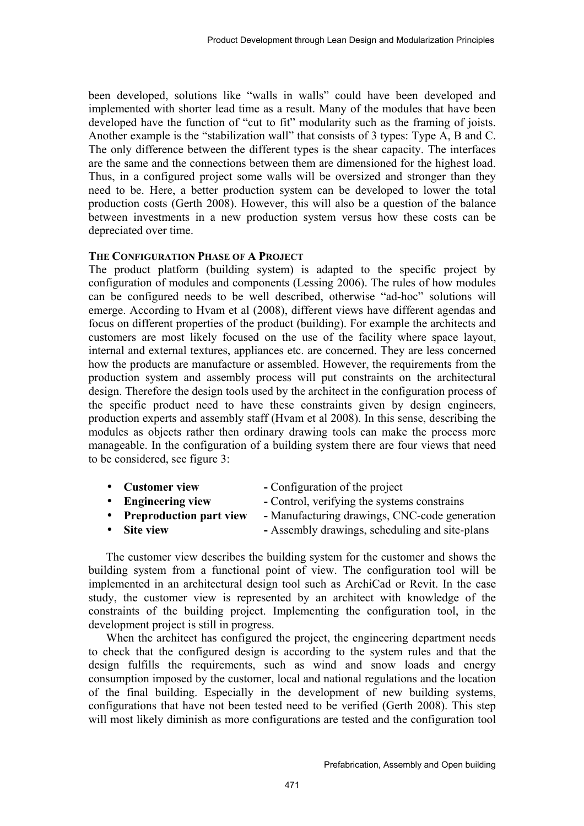been developed, solutions like "walls in walls" could have been developed and implemented with shorter lead time as a result. Many of the modules that have been developed have the function of "cut to fit" modularity such as the framing of joists. Another example is the "stabilization wall" that consists of 3 types: Type A, B and C. The only difference between the different types is the shear capacity. The interfaces are the same and the connections between them are dimensioned for the highest load. Thus, in a configured project some walls will be oversized and stronger than they need to be. Here, a better production system can be developed to lower the total production costs (Gerth 2008). However, this will also be a question of the balance between investments in a new production system versus how these costs can be depreciated over time.

#### **THE CONFIGURATION PHASE OF A PROJECT**

The product platform (building system) is adapted to the specific project by configuration of modules and components (Lessing 2006). The rules of how modules can be configured needs to be well described, otherwise "ad-hoc" solutions will emerge. According to Hvam et al (2008), different views have different agendas and focus on different properties of the product (building). For example the architects and customers are most likely focused on the use of the facility where space layout, internal and external textures, appliances etc. are concerned. They are less concerned how the products are manufacture or assembled. However, the requirements from the production system and assembly process will put constraints on the architectural design. Therefore the design tools used by the architect in the configuration process of the specific product need to have these constraints given by design engineers, production experts and assembly staff (Hvam et al 2008). In this sense, describing the modules as objects rather then ordinary drawing tools can make the process more manageable. In the configuration of a building system there are four views that need to be considered, see figure 3:

- **Customer view** Configuration of the project
- **Engineering view** Control, verifying the systems constrains
- **Preproduction part view -** Manufacturing drawings, CNC-code generation
- **Site view -** Assembly drawings, scheduling and site-plans

The customer view describes the building system for the customer and shows the building system from a functional point of view. The configuration tool will be implemented in an architectural design tool such as ArchiCad or Revit. In the case study, the customer view is represented by an architect with knowledge of the constraints of the building project. Implementing the configuration tool, in the development project is still in progress.

When the architect has configured the project, the engineering department needs to check that the configured design is according to the system rules and that the design fulfills the requirements, such as wind and snow loads and energy consumption imposed by the customer, local and national regulations and the location of the final building. Especially in the development of new building systems, configurations that have not been tested need to be verified (Gerth 2008). This step will most likely diminish as more configurations are tested and the configuration tool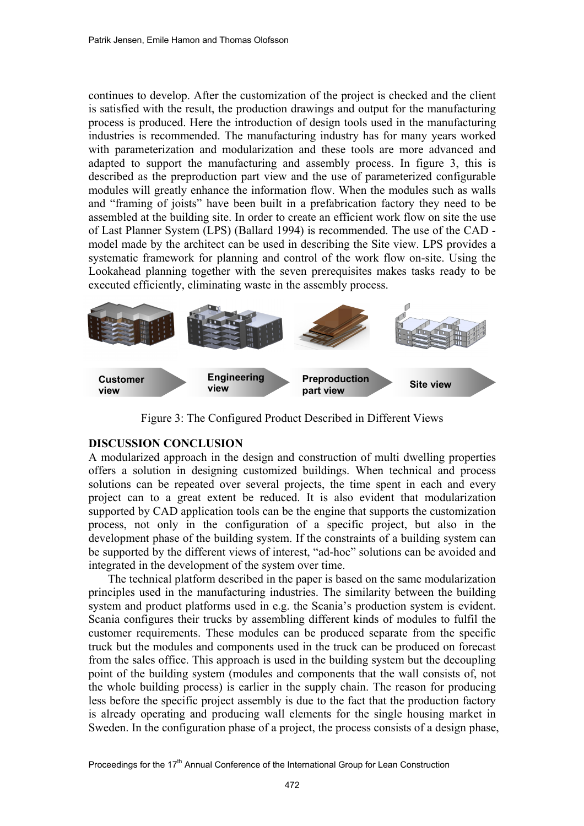continues to develop. After the customization of the project is checked and the client is satisfied with the result, the production drawings and output for the manufacturing process is produced. Here the introduction of design tools used in the manufacturing industries is recommended. The manufacturing industry has for many years worked with parameterization and modularization and these tools are more advanced and adapted to support the manufacturing and assembly process. In figure 3, this is described as the preproduction part view and the use of parameterized configurable modules will greatly enhance the information flow. When the modules such as walls and "framing of joists" have been built in a prefabrication factory they need to be assembled at the building site. In order to create an efficient work flow on site the use of Last Planner System (LPS) (Ballard 1994) is recommended. The use of the CAD model made by the architect can be used in describing the Site view. LPS provides a systematic framework for planning and control of the work flow on-site. Using the Lookahead planning together with the seven prerequisites makes tasks ready to be executed efficiently, eliminating waste in the assembly process.



Figure 3: The Configured Product Described in Different Views

## **DISCUSSION CONCLUSION**

A modularized approach in the design and construction of multi dwelling properties offers a solution in designing customized buildings. When technical and process solutions can be repeated over several projects, the time spent in each and every project can to a great extent be reduced. It is also evident that modularization supported by CAD application tools can be the engine that supports the customization process, not only in the configuration of a specific project, but also in the development phase of the building system. If the constraints of a building system can be supported by the different views of interest, "ad-hoc" solutions can be avoided and integrated in the development of the system over time.

The technical platform described in the paper is based on the same modularization principles used in the manufacturing industries. The similarity between the building system and product platforms used in e.g. the Scania's production system is evident. Scania configures their trucks by assembling different kinds of modules to fulfil the customer requirements. These modules can be produced separate from the specific truck but the modules and components used in the truck can be produced on forecast from the sales office. This approach is used in the building system but the decoupling point of the building system (modules and components that the wall consists of, not the whole building process) is earlier in the supply chain. The reason for producing less before the specific project assembly is due to the fact that the production factory is already operating and producing wall elements for the single housing market in Sweden. In the configuration phase of a project, the process consists of a design phase,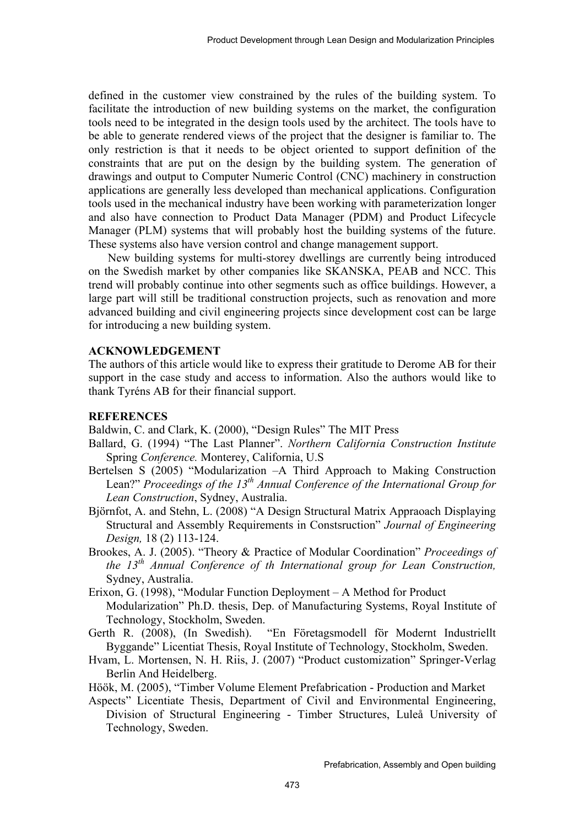defined in the customer view constrained by the rules of the building system. To facilitate the introduction of new building systems on the market, the configuration tools need to be integrated in the design tools used by the architect. The tools have to be able to generate rendered views of the project that the designer is familiar to. The only restriction is that it needs to be object oriented to support definition of the constraints that are put on the design by the building system. The generation of drawings and output to Computer Numeric Control (CNC) machinery in construction applications are generally less developed than mechanical applications. Configuration tools used in the mechanical industry have been working with parameterization longer and also have connection to Product Data Manager (PDM) and Product Lifecycle Manager (PLM) systems that will probably host the building systems of the future. These systems also have version control and change management support.

New building systems for multi-storey dwellings are currently being introduced on the Swedish market by other companies like SKANSKA, PEAB and NCC. This trend will probably continue into other segments such as office buildings. However, a large part will still be traditional construction projects, such as renovation and more advanced building and civil engineering projects since development cost can be large for introducing a new building system.

#### **ACKNOWLEDGEMENT**

The authors of this article would like to express their gratitude to Derome AB for their support in the case study and access to information. Also the authors would like to thank Tyréns AB for their financial support.

## **REFERENCES**

Baldwin, C. and Clark, K. (2000), "Design Rules" The MIT Press

- Ballard, G. (1994) "The Last Planner". *Northern California Construction Institute*  Spring *Conference.* Monterey, California, U.S
- Bertelsen S (2005) "Modularization –A Third Approach to Making Construction Lean?" Proceedings of the 13<sup>th</sup> Annual Conference of the International Group for *Lean Construction*, Sydney, Australia.
- Björnfot, A. and Stehn, L. (2008) "A Design Structural Matrix Appraoach Displaying Structural and Assembly Requirements in Constsruction" *Journal of Engineering Design,* 18 (2) 113-124.
- Brookes, A. J. (2005). "Theory & Practice of Modular Coordination" *Proceedings of the 13th Annual Conference of th International group for Lean Construction,* Sydney, Australia.
- Erixon, G. (1998), "Modular Function Deployment A Method for Product Modularization" Ph.D. thesis, Dep. of Manufacturing Systems, Royal Institute of Technology, Stockholm, Sweden.
- Gerth R. (2008), (In Swedish). "En Företagsmodell för Modernt Industriellt Byggande" Licentiat Thesis, Royal Institute of Technology, Stockholm, Sweden.
- Hvam, L. Mortensen, N. H. Riis, J. (2007) "Product customization" Springer-Verlag Berlin And Heidelberg.

Höök, M. (2005), "Timber Volume Element Prefabrication - Production and Market

Aspects" Licentiate Thesis, Department of Civil and Environmental Engineering, Division of Structural Engineering - Timber Structures, Luleå University of Technology, Sweden.